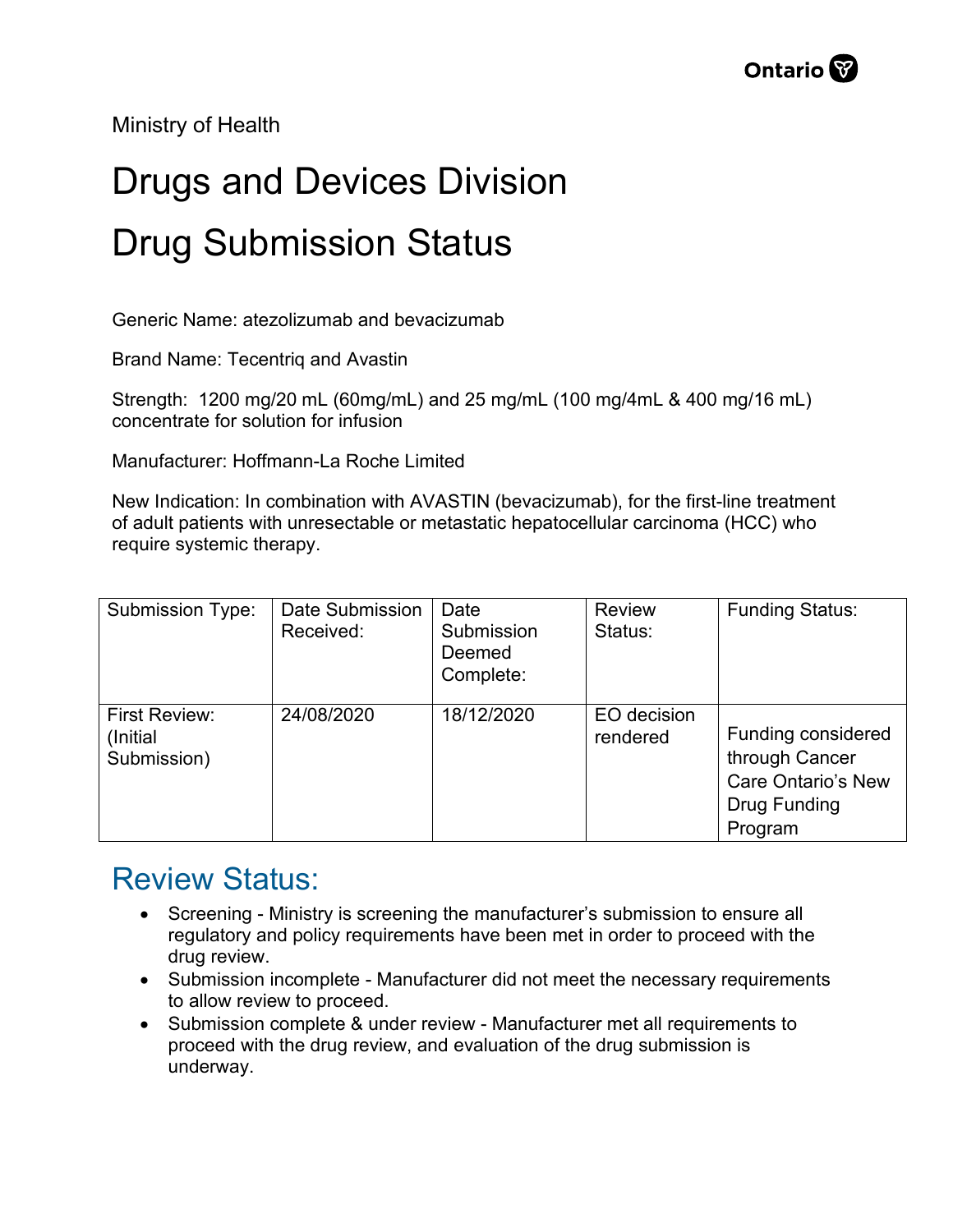Ministry of Health

## Drugs and Devices Division Drug Submission Status

Generic Name: atezolizumab and bevacizumab

Brand Name: Tecentriq and Avastin

Strength: 1200 mg/20 mL (60mg/mL) and 25 mg/mL (100 mg/4mL & 400 mg/16 mL) concentrate for solution for infusion

Manufacturer: Hoffmann-La Roche Limited

New Indication: In combination with AVASTIN (bevacizumab), for the first-line treatment of adult patients with unresectable or metastatic hepatocellular carcinoma (HCC) who require systemic therapy.

| <b>Submission Type:</b>                          | Date Submission<br>Received: | Date<br>Submission<br>Deemed<br>Complete: | <b>Review</b><br>Status: | <b>Funding Status:</b>                                                                              |
|--------------------------------------------------|------------------------------|-------------------------------------------|--------------------------|-----------------------------------------------------------------------------------------------------|
| <b>First Review:</b><br>(Initial)<br>Submission) | 24/08/2020                   | 18/12/2020                                | EO decision<br>rendered  | <b>Funding considered</b><br>through Cancer<br><b>Care Ontario's New</b><br>Drug Funding<br>Program |

## Review Status:

- Screening Ministry is screening the manufacturer's submission to ensure all regulatory and policy requirements have been met in order to proceed with the drug review.
- Submission incomplete Manufacturer did not meet the necessary requirements to allow review to proceed.
- Submission complete & under review Manufacturer met all requirements to proceed with the drug review, and evaluation of the drug submission is underway.